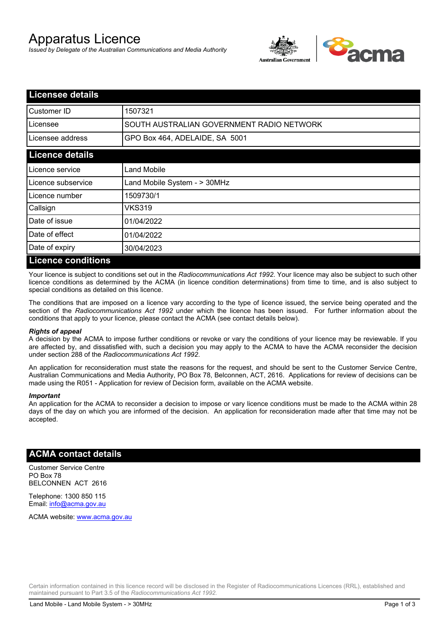# Apparatus Licence

*Issued by Delegate of the Australian Communications and Media Authority*



| <b>Licensee details</b>   |                                           |  |
|---------------------------|-------------------------------------------|--|
| Customer ID               | 1507321                                   |  |
| Licensee                  | SOUTH AUSTRALIAN GOVERNMENT RADIO NETWORK |  |
| Licensee address          | GPO Box 464, ADELAIDE, SA 5001            |  |
| <b>Licence details</b>    |                                           |  |
| Licence service           | Land Mobile                               |  |
| Licence subservice        | Land Mobile System - > 30MHz              |  |
| Licence number            | 1509730/1                                 |  |
| Callsign                  | VKS319                                    |  |
| Date of issue             | 01/04/2022                                |  |
| Date of effect            | 01/04/2022                                |  |
| Date of expiry            | 30/04/2023                                |  |
| <b>Licence conditions</b> |                                           |  |

Your licence is subject to conditions set out in the *Radiocommunications Act 1992*. Your licence may also be subject to such other licence conditions as determined by the ACMA (in licence condition determinations) from time to time, and is also subject to special conditions as detailed on this licence.

The conditions that are imposed on a licence vary according to the type of licence issued, the service being operated and the section of the *Radiocommunications Act 1992* under which the licence has been issued. For further information about the conditions that apply to your licence, please contact the ACMA (see contact details below).

#### *Rights of appeal*

A decision by the ACMA to impose further conditions or revoke or vary the conditions of your licence may be reviewable. If you are affected by, and dissatisfied with, such a decision you may apply to the ACMA to have the ACMA reconsider the decision under section 288 of the *Radiocommunications Act 1992*.

An application for reconsideration must state the reasons for the request, and should be sent to the Customer Service Centre, Australian Communications and Media Authority, PO Box 78, Belconnen, ACT, 2616. Applications for review of decisions can be made using the R051 - Application for review of Decision form, available on the ACMA website.

#### *Important*

An application for the ACMA to reconsider a decision to impose or vary licence conditions must be made to the ACMA within 28 days of the day on which you are informed of the decision. An application for reconsideration made after that time may not be accepted.

### **ACMA contact details**

Customer Service Centre PO Box 78 BELCONNEN ACT 2616

Telephone: 1300 850 115 Email: info@acma.gov.au

ACMA website: www.acma.gov.au

Certain information contained in this licence record will be disclosed in the Register of Radiocommunications Licences (RRL), established and maintained pursuant to Part 3.5 of the *Radiocommunications Act 1992.*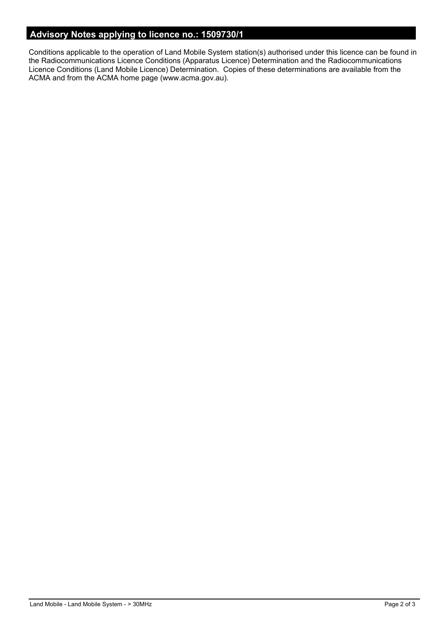## **Advisory Notes applying to licence no.: 1509730/1**

Conditions applicable to the operation of Land Mobile System station(s) authorised under this licence can be found in the Radiocommunications Licence Conditions (Apparatus Licence) Determination and the Radiocommunications Licence Conditions (Land Mobile Licence) Determination. Copies of these determinations are available from the ACMA and from the ACMA home page (www.acma.gov.au).